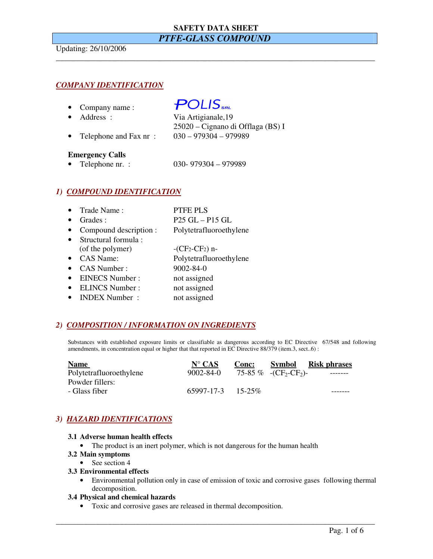# **SAFETY DATA SHEET**  *PTFE-GLASS COMPOUND*

\_\_\_\_\_\_\_\_\_\_\_\_\_\_\_\_\_\_\_\_\_\_\_\_\_\_\_\_\_\_\_\_\_\_\_\_\_\_\_\_\_\_\_\_\_\_\_\_\_\_\_\_\_\_\_\_\_\_\_\_\_\_\_\_\_\_\_\_\_\_\_\_\_\_\_\_\_\_\_\_

Updating: 26/10/2006

# *COMPANY IDENTIFICATION*

• Company name :

### • Address : Via Artigianale,19

# $POLIS_{\tiny\it SRL}$

- 
- 25020 Cignano di Offlaga (BS) I • Telephone and Fax nr : 030 – 979304 – 979989

### **Emergency Calls**

• Telephone nr. : 030- 979304 – 979989

# *1) COMPOUND IDENTIFICATION*

| Trade Name:            | <b>PTFE PLS</b>         |
|------------------------|-------------------------|
| Grades:                | $P25 GL - P15 GL$       |
| Compound description : | Polytetrafluoroethylene |
| Structural formula:    |                         |
| (of the polymer)       | $-CF2-CF2$ ) n-         |
| CAS Name:              | Polytetrafluoroethylene |
| <b>CAS Number:</b>     | $9002 - 84 - 0$         |
| <b>EINECS Number:</b>  | not assigned            |
| <b>ELINCS Number:</b>  | not assigned            |
| <b>INDEX Number:</b>   | not assigned            |

# *2) COMPOSITION / INFORMATION ON INGREDIENTS*

Substances with established exposure limits or classifiable as dangerous according to EC Directive 67/548 and following amendments, in concentration equal or higher that that reported in EC Directive 88/379 (item.3, sect..6) :

| <b>Name</b>             | $N^{\circ}$ CAS          | <b>Conc:</b> | <b>Symbol</b>          | <b>Risk phrases</b> |
|-------------------------|--------------------------|--------------|------------------------|---------------------|
| Polytetrafluoroethylene | $9002 - 84 - 0$          |              | 75-85 % $-(CF_2-CF_2)$ |                     |
| Powder fillers:         |                          |              |                        |                     |
| - Glass fiber           | $65997 - 17 - 3$ 15-25\% |              |                        |                     |

# *3) HAZARD IDENTIFICATIONS*

#### **3.1 Adverse human health effects**

- The product is an inert polymer, which is not dangerous for the human health
- **3.2 Main symptoms** 
	- See section 4

#### **3.3 Environmental effects**

• Environmental pollution only in case of emission of toxic and corrosive gases following thermal decomposition.

\_\_\_\_\_\_\_\_\_\_\_\_\_\_\_\_\_\_\_\_\_\_\_\_\_\_\_\_\_\_\_\_\_\_\_\_\_\_\_\_\_\_\_\_\_\_\_\_\_\_\_\_\_\_\_\_\_\_\_\_\_\_\_\_\_\_\_\_\_\_\_\_\_\_\_\_\_\_\_\_

#### **3.4 Physical and chemical hazards**

• Toxic and corrosive gases are released in thermal decomposition.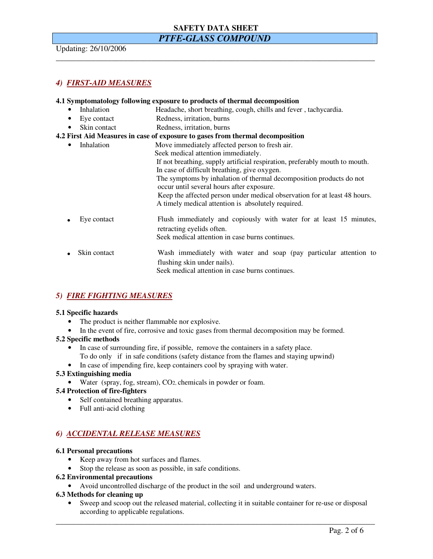# **SAFETY DATA SHEET**

# *PTFE-GLASS COMPOUND*

\_\_\_\_\_\_\_\_\_\_\_\_\_\_\_\_\_\_\_\_\_\_\_\_\_\_\_\_\_\_\_\_\_\_\_\_\_\_\_\_\_\_\_\_\_\_\_\_\_\_\_\_\_\_\_\_\_\_\_\_\_\_\_\_\_\_\_\_\_\_\_\_\_\_\_\_\_\_\_\_

Updating: 26/10/2006

# *4) FIRST-AID MEASURES*

# **4.1 Symptomatology following exposure to products of thermal decomposition**  • Inhalation Headache, short breathing, cough, chills and fever, tachycardia. • Eye contact Redness, irritation, burns • Skin contact Redness, irritation, burns **4.2 First Aid Measures in case of exposure to gases from thermal decomposition**  • Inhalation Move immediately affected person to fresh air. Seek medical attention immediately. If not breathing, supply artificial respiration, preferably mouth to mouth. In case of difficult breathing, give oxygen. The symptoms by inhalation of thermal decomposition products do not occur until several hours after exposure. Keep the affected person under medical observation for at least 48 hours. A timely medical attention is absolutely required. Eye contact Flush immediately and copiously with water for at least 15 minutes, retracting eyelids often. Seek medical attention in case burns continues. **.** Skin contact Wash immediately with water and soap (pay particular attention to flushing skin under nails). Seek medical attention in case burns continues.

# *5) FIRE FIGHTING MEASURES*

### **5.1 Specific hazards**

- The product is neither flammable nor explosive.
- In the event of fire, corrosive and toxic gases from thermal decomposition may be formed.

### **5.2 Specific methods**

- In case of surrounding fire, if possible, remove the containers in a safety place. To do only if in safe conditions (safety distance from the flames and staying upwind)
- In case of impending fire, keep containers cool by spraying with water.

### **5.3 Extinguishing media**

• Water (spray, fog, stream), CO2, chemicals in powder or foam.

### **5.4 Protection of fire-fighters**

- Self contained breathing apparatus.
- Full anti-acid clothing

# *6) ACCIDENTAL RELEASE MEASURES*

### **6.1 Personal precautions**

- Keep away from hot surfaces and flames.
- Stop the release as soon as possible, in safe conditions.

### **6.2 Environmental precautions**

• Avoid uncontrolled discharge of the product in the soil and underground waters.

### **6.3 Methods for cleaning up**

• Sweep and scoop out the released material, collecting it in suitable container for re-use or disposal according to applicable regulations.

\_\_\_\_\_\_\_\_\_\_\_\_\_\_\_\_\_\_\_\_\_\_\_\_\_\_\_\_\_\_\_\_\_\_\_\_\_\_\_\_\_\_\_\_\_\_\_\_\_\_\_\_\_\_\_\_\_\_\_\_\_\_\_\_\_\_\_\_\_\_\_\_\_\_\_\_\_\_\_\_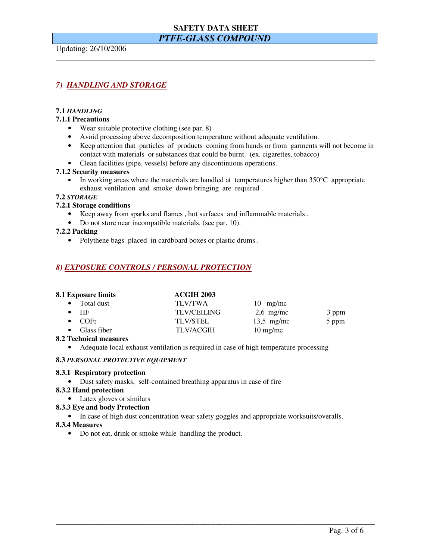# **SAFETY DATA SHEET**

# *PTFE-GLASS COMPOUND*

\_\_\_\_\_\_\_\_\_\_\_\_\_\_\_\_\_\_\_\_\_\_\_\_\_\_\_\_\_\_\_\_\_\_\_\_\_\_\_\_\_\_\_\_\_\_\_\_\_\_\_\_\_\_\_\_\_\_\_\_\_\_\_\_\_\_\_\_\_\_\_\_\_\_\_\_\_\_\_\_

Updating: 26/10/2006

# *7) HANDLING AND STORAGE*

### **7.1** *HANDLING*

#### **7.1.1 Precautions**

- Wear suitable protective clothing (see par. 8)
- Avoid processing above decomposition temperature without adequate ventilation.
- Keep attention that particles of products coming from hands or from garments will not become in contact with materials or substances that could be burnt. (ex. cigarettes, tobacco)
- Clean facilities (pipe, vessels) before any discontinuous operations.

#### **7.1.2 Security measures**

In working areas where the materials are handled at temperatures higher than  $350^{\circ}$ C appropriate exhaust ventilation and smoke down bringing are required .

### **7.2** *STORAGE*

### **7.2.1 Storage conditions**

- Keep away from sparks and flames , hot surfaces and inflammable materials .
- Do not store near incompatible materials. (see par. 10).

#### **7.2.2 Packing**

• Polythene bags placed in cardboard boxes or plastic drums .

# *8) EXPOSURE CONTROLS / PERSONAL PROTECTION*

| 8.1 Exposure limits        | <b>ACGIH 2003</b>  |                    |       |  |
|----------------------------|--------------------|--------------------|-------|--|
| Total dust                 | <b>TLV/TWA</b>     | $10$ mg/mc         |       |  |
| $\bullet$ HF               | <b>TLV/CEILING</b> | $2,6$ mg/mc        | 3 ppm |  |
| $\bullet$ COF <sub>2</sub> | <b>TLV/STEL</b>    | $13.5$ mg/mc       | 5 ppm |  |
| $\bullet$ Glass fiber      | <b>TLV/ACGIH</b>   | $10 \text{ mg/mc}$ |       |  |

#### **8.2 Technical measures**

• Adequate local exhaust ventilation is required in case of high temperature processing

#### **8.3** *PERSONAL PROTECTIVE EQUIPMENT*

### **8.3.1 Respiratory protection**

• Dust safety masks, self-contained breathing apparatus in case of fire

#### **8.3.2 Hand protection**

• Latex gloves or similars

#### **8.3.3 Eye and body Protection**

• In case of high dust concentration wear safety goggles and appropriate worksuits/overalls.

\_\_\_\_\_\_\_\_\_\_\_\_\_\_\_\_\_\_\_\_\_\_\_\_\_\_\_\_\_\_\_\_\_\_\_\_\_\_\_\_\_\_\_\_\_\_\_\_\_\_\_\_\_\_\_\_\_\_\_\_\_\_\_\_\_\_\_\_\_\_\_\_\_\_\_\_\_\_\_\_

#### **8.3.4 Measures**

• Do not eat, drink or smoke while handling the product.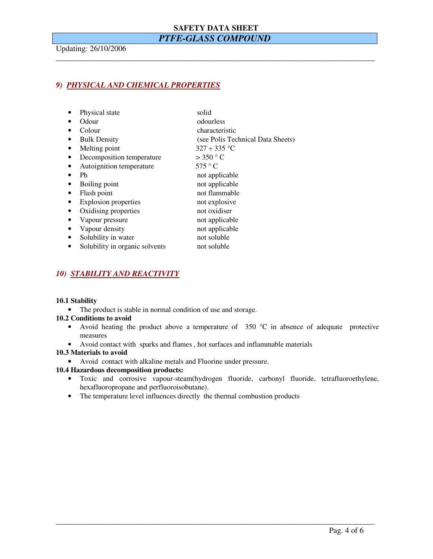# **SAFETY DATA SHEET**  *PTFE-GLASS COMPOUND*

\_\_\_\_\_\_\_\_\_\_\_\_\_\_\_\_\_\_\_\_\_\_\_\_\_\_\_\_\_\_\_\_\_\_\_\_\_\_\_\_\_\_\_\_\_\_\_\_\_\_\_\_\_\_\_\_\_\_\_\_\_\_\_\_\_\_\_\_\_\_\_\_\_\_\_\_\_\_\_\_

Updating: 26/10/2006

# *9) PHYSICAL AND CHEMICAL PROPERTIES*

|  | Physical state | solid |
|--|----------------|-------|
|--|----------------|-------|

- Odour odourless
- Colour characteristic
- Bulk Density (see Polis Technical Data Sheets)
- Melting point  $327 \div 335$  °C
- Decomposition temperature  $> 350 °C$
- Autoignition temperature 575 ° C
- Ph not applicable
- Boiling point not applicable
- Flash point not flammable
- Explosion properties not explosive
- Oxidising properties not oxidiser
- Vapour pressure not applicable
- Vapour density not applicable
- Solubility in water not soluble
- Solubility in organic solvents not soluble
- *10) STABILITY AND REACTIVITY*

#### **10.1 Stability**

• The product is stable in normal condition of use and storage.

#### **10.2 Conditions to avoid**

- Avoid heating the product above a temperature of  $350 °C$  in absence of adequate protective measures
- Avoid contact with sparks and flames , hot surfaces and inflammable materials

#### **10.3 Materials to avoid**

• Avoid contact with alkaline metals and Fluorine under pressure.

#### **10.4 Hazardous decomposition products:**

• Toxic and corrosive vapour-steam(hydrogen fluoride, carbonyl fluoride, tetrafluoroethylene, hexafluoropropane and perfluoroisobutane).

\_\_\_\_\_\_\_\_\_\_\_\_\_\_\_\_\_\_\_\_\_\_\_\_\_\_\_\_\_\_\_\_\_\_\_\_\_\_\_\_\_\_\_\_\_\_\_\_\_\_\_\_\_\_\_\_\_\_\_\_\_\_\_\_\_\_\_\_\_\_\_\_\_\_\_\_\_\_\_\_

• The temperature level influences directly the thermal combustion products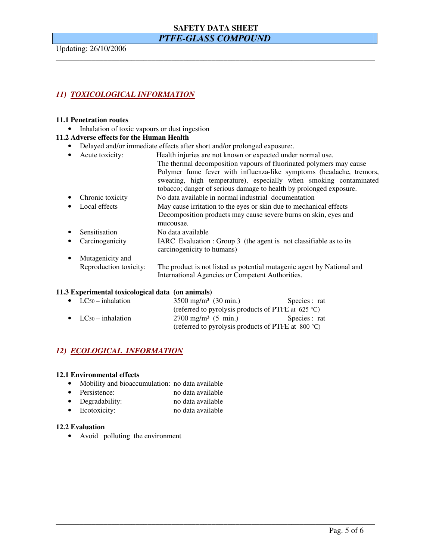# **SAFETY DATA SHEET**

# *PTFE-GLASS COMPOUND*

\_\_\_\_\_\_\_\_\_\_\_\_\_\_\_\_\_\_\_\_\_\_\_\_\_\_\_\_\_\_\_\_\_\_\_\_\_\_\_\_\_\_\_\_\_\_\_\_\_\_\_\_\_\_\_\_\_\_\_\_\_\_\_\_\_\_\_\_\_\_\_\_\_\_\_\_\_\_\_\_

Updating: 26/10/2006

# *11) TOXICOLOGICAL INFORMATION*

#### **11.1 Penetration routes**

• Inhalation of toxic vapours or dust ingestion

#### **11.2 Adverse effects for the Human Health**

- Delayed and/or immediate effects after short and/or prolonged exposure:.
- Acute toxicity: Health injuries are not known or expected under normal use. The thermal decomposition vapours of fluorinated polymers may cause Polymer fume fever with influenza-like symptoms (headache, tremors, sweating, high temperature), especially when smoking contaminated tobacco; danger of serious damage to health by prolonged exposure.
- Chronic toxicity No data available in normal industrial documentation
- Local effects May cause irritation to the eyes or skin due to mechanical effects Decomposition products may cause severe burns on skin, eyes and mucousae.
	- Sensitisation No data available
- Carcinogenicity IARC Evaluation : Group 3 (the agent is not classifiable as to its carcinogenicity to humans)
- Mutagenicity and Reproduction toxicity: The product is not listed as potential mutagenic agent by National and International Agencies or Competent Authorities.

\_\_\_\_\_\_\_\_\_\_\_\_\_\_\_\_\_\_\_\_\_\_\_\_\_\_\_\_\_\_\_\_\_\_\_\_\_\_\_\_\_\_\_\_\_\_\_\_\_\_\_\_\_\_\_\_\_\_\_\_\_\_\_\_\_\_\_\_\_\_\_\_\_\_\_\_\_\_\_\_

#### **11.3 Experimental toxicological data (on animals)**

| $\bullet$ LC <sub>50</sub> – inhalation | $3500 \text{ mg/m}^3$ (30 min.)                              | Species : rat |
|-----------------------------------------|--------------------------------------------------------------|---------------|
|                                         | (referred to pyrolysis products of PTFE at 625 °C)           |               |
| • $LC_{50}$ – inhalation                | $2700 \text{ mg/m}^3$ (5 min.)                               | Species : rat |
|                                         | (referred to pyrolysis products of PTFE at $800 \degree C$ ) |               |

# *12) ECOLOGICAL INFORMATION*

#### **12.1 Environmental effects**

- Mobility and bioaccumulation: no data available
- Persistence: no data available
- Degradability: no data available
- Ecotoxicity: no data available

#### **12.2 Evaluation**

• Avoid polluting the environment